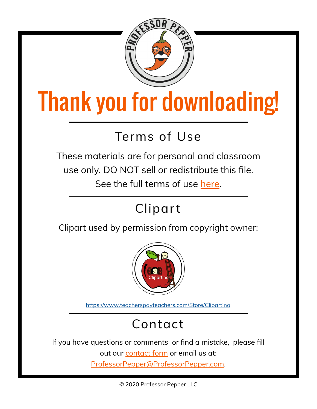

## Thank you for downloading!

## **Terms of Use**

These materials are for personal and classroom use only. DO NOT sell or redistribute this file. See the full terms of use [here.](https://professorpepper.com/about/terms-of-use/)

## **Clipart**

Clipart used by permission from copyright owner:



<https://www.teacherspayteachers.com/Store/Clipartino>

## **Contact**

If you have questions or comments or find a mistake, please fill

out our [contact form](https://professorpepper.com/contact/) or email us at:

[ProfessorPepper@ProfessorPepper.com.](mailto:ProfessorPepper@ProfessorPepper.com?subject=Printable%20Question%20or%20Comment)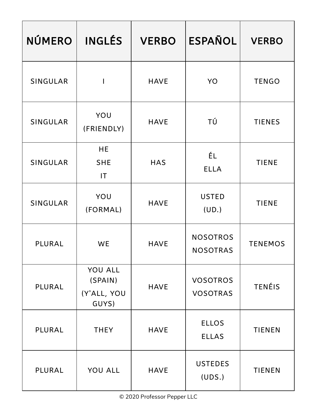| <b>NÚMERO</b>   | <b>INGLÉS</b>                                     | <b>VERBO</b> | <b>ESPAÑOL</b>                     | <b>VERBO</b>   |
|-----------------|---------------------------------------------------|--------------|------------------------------------|----------------|
| <b>SINGULAR</b> | $\mathbf I$                                       | <b>HAVE</b>  | YO                                 | <b>TENGO</b>   |
| SINGULAR        | YOU<br>(FRIENDLY)                                 | <b>HAVE</b>  | ΤÚ                                 | <b>TIENES</b>  |
| SINGULAR        | <b>HE</b><br><b>SHE</b><br>$\mathsf{I}\mathsf{T}$ | <b>HAS</b>   | ÉL<br><b>ELLA</b>                  | <b>TIENE</b>   |
| SINGULAR        | YOU<br>(FORMAL)                                   | <b>HAVE</b>  | <b>USTED</b><br>(UD.)              | <b>TIENE</b>   |
| PLURAL          | WE                                                | <b>HAVE</b>  | <b>NOSOTROS</b><br><b>NOSOTRAS</b> | <b>TENEMOS</b> |
| PLURAL          | YOU ALL<br>(SPAIN)<br>(Y'ALL, YOU<br>GUYS)        | <b>HAVE</b>  | <b>VOSOTROS</b><br><b>VOSOTRAS</b> | <b>TENÉIS</b>  |
| PLURAL          | <b>THEY</b>                                       | <b>HAVE</b>  | <b>ELLOS</b><br><b>ELLAS</b>       | <b>TIENEN</b>  |
| PLURAL          | YOU ALL                                           | <b>HAVE</b>  | <b>USTEDES</b><br>(UDS.)           | <b>TIENEN</b>  |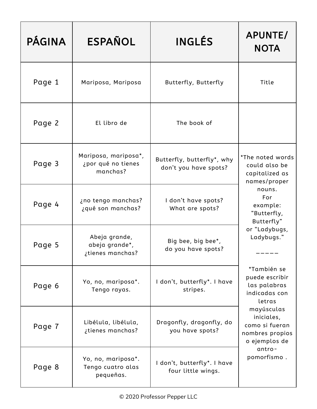| <b>PÁGINA</b> | <b>ESPAÑOL</b>                                         | INGLÉS                                              | APUNTE/<br><b>NOTA</b>                                                                                                                                                                                                                                                                                                                              |
|---------------|--------------------------------------------------------|-----------------------------------------------------|-----------------------------------------------------------------------------------------------------------------------------------------------------------------------------------------------------------------------------------------------------------------------------------------------------------------------------------------------------|
| Page 1        | Mariposa, Mariposa                                     | Butterfly, Butterfly                                | Title                                                                                                                                                                                                                                                                                                                                               |
| Page 2        | El libro de                                            | The book of                                         |                                                                                                                                                                                                                                                                                                                                                     |
| Page 3        | Mariposa, mariposa*,<br>¿por qué no tienes<br>manchas? | Butterfly, butterfly*, why<br>don't you have spots? | *The noted words<br>could also be<br>capitalized as<br>names/proper<br>nouns.<br>For<br>example:<br>"Butterfly,<br>Butterfly"<br>or "Ladybugs,<br>Ladybugs."<br>*También se<br>puede escribir<br>las palabras<br>indicadas con<br>letras<br>mayúsculas<br>iniciales,<br>como si fueran<br>nombres propios<br>o ejemplos de<br>antro-<br>pomorfismo. |
| Page 4        | ¿no tengo manchas?<br>¿qué son manchas?                | I don't have spots?<br>What are spots?              |                                                                                                                                                                                                                                                                                                                                                     |
| Page 5        | Abeja grande,<br>abeja grande*,<br>¿tienes manchas?    | Big bee, big bee*,<br>do you have spots?            |                                                                                                                                                                                                                                                                                                                                                     |
| Page 6        | Yo, no, mariposa*.<br>Tengo rayas.                     | I don't, butterfly*. I have<br>stripes.             |                                                                                                                                                                                                                                                                                                                                                     |
| Page 7        | Libélula, libélula,<br>¿tienes manchas?                | Dragonfly, dragonfly, do<br>you have spots?         |                                                                                                                                                                                                                                                                                                                                                     |
| Page 8        | Yo, no, mariposa*.<br>Tengo cuatro alas<br>pequeñas.   | I don't, butterfly*. I have<br>four little wings.   |                                                                                                                                                                                                                                                                                                                                                     |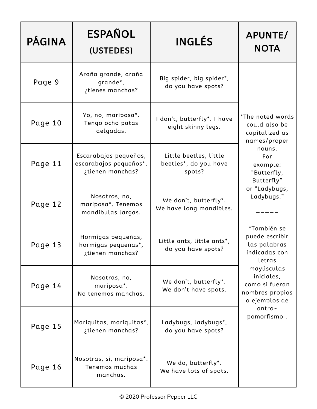| <b>PÁGINA</b>                                                            | <b>ESPAÑOL</b><br>(USTEDES)                                         | <b>INGLÉS</b>                                             | APUNTE/<br><b>NOTA</b>                                                                                  |
|--------------------------------------------------------------------------|---------------------------------------------------------------------|-----------------------------------------------------------|---------------------------------------------------------------------------------------------------------|
| Page 9                                                                   | Araña grande, araña<br>grande*,<br>¿tienes manchas?                 | Big spider, big spider*,<br>do you have spots?            |                                                                                                         |
| Yo, no, mariposa*.<br>Page 10<br>Tengo ocho patas<br>delgadas.           |                                                                     | I don't, butterfly*. I have<br>eight skinny legs.         | *The noted words<br>could also be<br>capitalized as<br>names/proper                                     |
| Page 11                                                                  | Escarabajos pequeños,<br>escarabajos pequeños*,<br>¿tienen manchas? | Little beetles, little<br>beetles*, do you have<br>spots? | nouns.<br>For<br>example:<br>"Butterfly,<br>Butterfly"<br>or "Ladybugs,<br>Ladybugs."                   |
| Page 12                                                                  | Nosotros, no,<br>mariposa*. Tenemos<br>mandíbulas largas.           | We don't, butterfly*.<br>We have long mandibles.          |                                                                                                         |
| Hormigas pequeñas,<br>Page 13<br>hormigas pequeñas*,<br>¿tienen manchas? |                                                                     | Little ants, little ants*,<br>do you have spots?          | *También se<br>puede escribir<br>las palabras<br>indicadas con<br>letras                                |
| Page 14                                                                  | Nosotras, no,<br>mariposa*.<br>No tenemos manchas.                  | We don't, butterfly*.<br>We don't have spots.             | mayúsculas<br>iniciales,<br>como si fueran<br>nombres propios<br>o ejemplos de<br>antro-<br>pomorfismo. |
| Page 15                                                                  | Mariquitas, mariquitas*,<br>¿tienen manchas?                        | Ladybugs, ladybugs*,<br>do you have spots?                |                                                                                                         |
| Page 16                                                                  | Nosotras, sí, mariposa*.<br>Tenemos muchas<br>manchas.              | We do, butterfly*.<br>We have lots of spots.              |                                                                                                         |